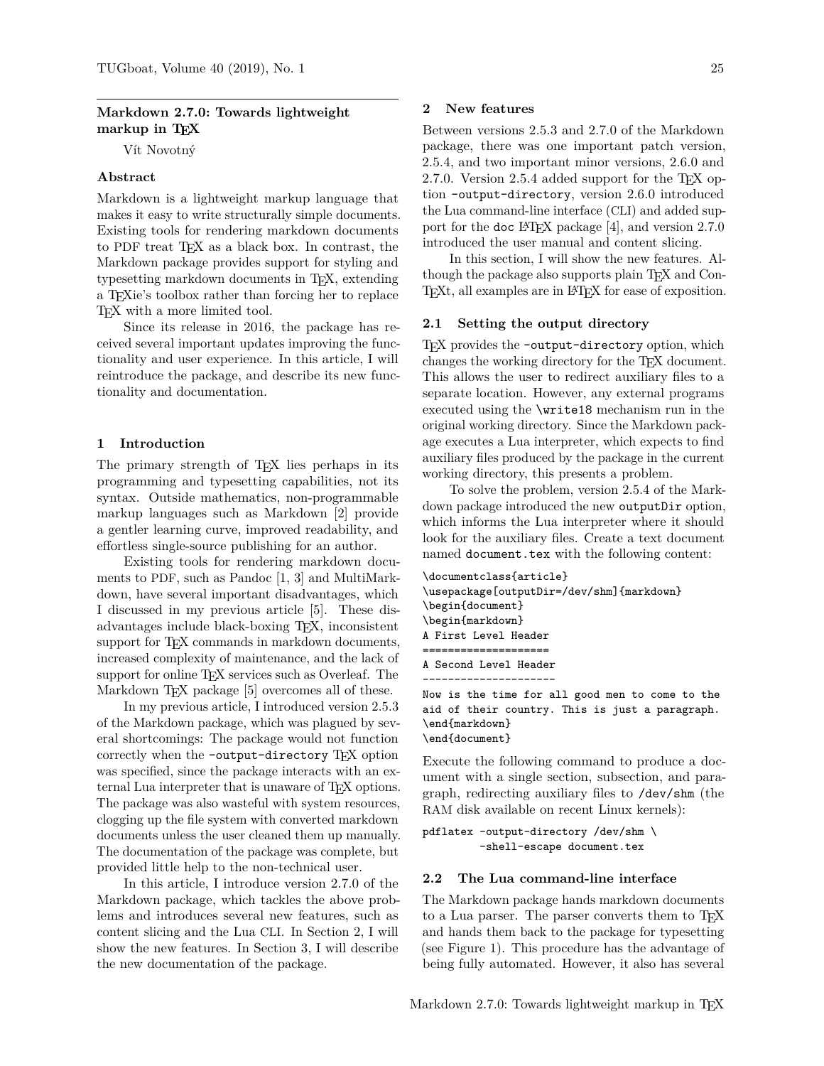# **Markdown 2.7.0: Towards lightweight markup in TEX**

Vít Novotný

## **Abstract**

Markdown is a lightweight markup language that makes it easy to write structurally simple documents. Existing tools for rendering markdown documents to PDF treat TEX as a black box. In contrast, the Markdown package provides support for styling and typesetting markdown documents in TEX, extending a TEXie's toolbox rather than forcing her to replace TEX with a more limited tool.

Since its release in 2016, the package has received several important updates improving the functionality and user experience. In this article, I will reintroduce the package, and describe its new functionality and documentation.

### **1 Introduction**

The primary strength of T<sub>E</sub>X lies perhaps in its programming and typesetting capabilities, not its syntax. Outside mathematics, non-programmable markup languages such as Markdown [\[2\]](#page-2-0) provide a gentler learning curve, improved readability, and effortless single-source publishing for an author.

Existing tools for rendering markdown documents to PDF, such as Pandoc [\[1,](#page-2-1) [3\]](#page-2-2) and MultiMarkdown, have several important disadvantages, which I discussed in my previous article [\[5\]](#page-2-3). These disadvantages include black-boxing TEX, inconsistent support for T<sub>E</sub>X commands in markdown documents, increased complexity of maintenance, and the lack of support for online T<sub>EX</sub> services such as Overleaf. The Markdown T<sub>F</sub>X package [\[5\]](#page-2-3) overcomes all of these.

In my previous article, I introduced version 2.5.3 of the Markdown package, which was plagued by several shortcomings: The package would not function correctly when the -output-directory T<sub>E</sub>X option was specified, since the package interacts with an external Lua interpreter that is unaware of T<sub>E</sub>X options. The package was also wasteful with system resources, clogging up the file system with converted markdown documents unless the user cleaned them up manually. The documentation of the package was complete, but provided little help to the non-technical user.

In this article, I introduce version 2.7.0 of the Markdown package, which tackles the above problems and introduces several new features, such as content slicing and the Lua CLI. In Section [2,](#page-0-0) I will show the new features. In Section [3,](#page-2-4) I will describe the new documentation of the package.

#### <span id="page-0-0"></span>**2 New features**

Between versions 2.5.3 and 2.7.0 of the Markdown package, there was one important patch version, 2.5.4, and two important minor versions, 2.6.0 and 2.7.0. Version 2.5.4 added support for the T<sub>E</sub>X option -output-directory, version 2.6.0 introduced the Lua command-line interface (CLI) and added sup-port for the doc LAT<sub>EX</sub> package [\[4\]](#page-2-5), and version  $2.7.0$ introduced the user manual and content slicing.

In this section, I will show the new features. Although the package also supports plain TEX and Con-T<sub>EXt</sub>, all examples are in L<sup>AT</sup>EX for ease of exposition.

### **2.1 Setting the output directory**

TEX provides the -output-directory option, which changes the working directory for the TEX document. This allows the user to redirect auxiliary files to a separate location. However, any external programs executed using the \write18 mechanism run in the original working directory. Since the Markdown package executes a Lua interpreter, which expects to find auxiliary files produced by the package in the current working directory, this presents a problem.

To solve the problem, version 2.5.4 of the Markdown package introduced the new outputDir option, which informs the Lua interpreter where it should look for the auxiliary files. Create a text document named document.tex with the following content:

```
\documentclass{article}
\usepackage[outputDir=/dev/shm]{markdown}
\begin{document}
\begin{markdown}
A First Level Header
    ====================
A Second Level Header
 ---------------------
```
Now is the time for all good men to come to the aid of their country. This is just a paragraph. \end{markdown} \end{document}

Execute the following command to produce a document with a single section, subsection, and paragraph, redirecting auxiliary files to /dev/shm (the RAM disk available on recent Linux kernels):

```
pdflatex -output-directory /dev/shm \
         -shell-escape document.tex
```
#### **2.2 The Lua command-line interface**

The Markdown package hands markdown documents to a Lua parser. The parser converts them to T<sub>F</sub>X and hands them back to the package for typesetting (see Figure [1\)](#page-1-0). This procedure has the advantage of being fully automated. However, it also has several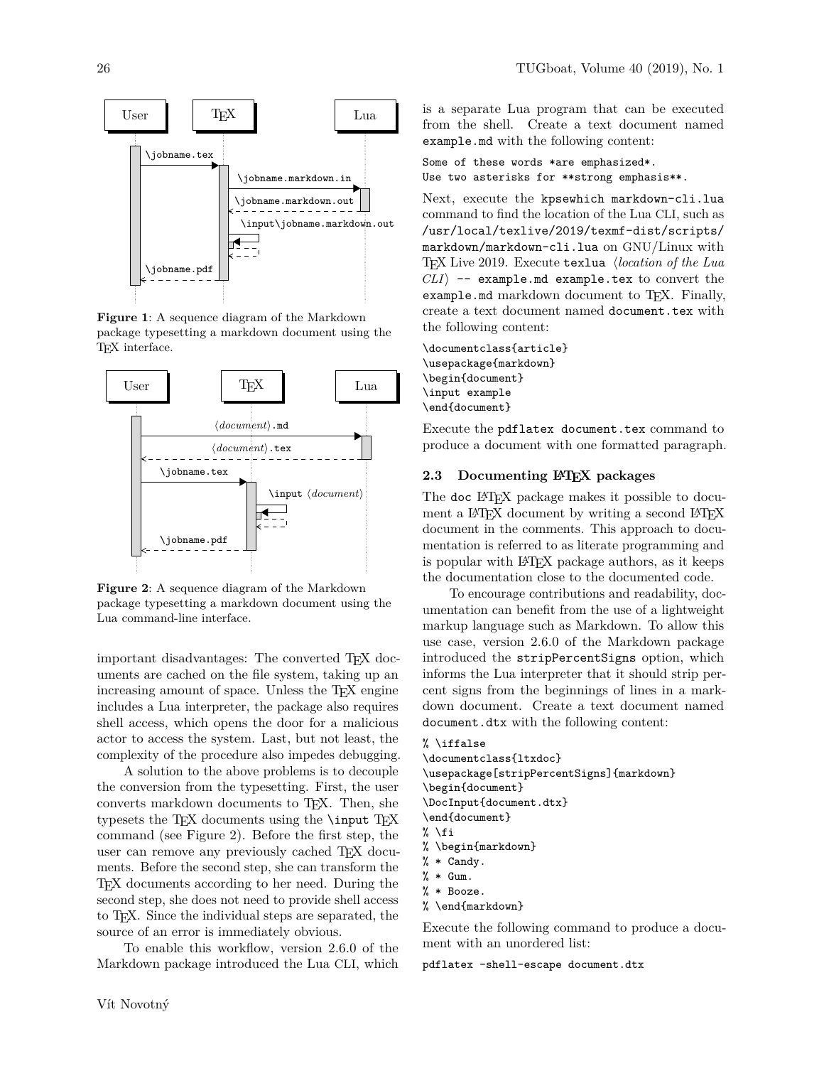

<span id="page-1-0"></span>**Figure 1**: A sequence diagram of the Markdown package typesetting a markdown document using the TEX interface.



<span id="page-1-1"></span>**Figure 2**: A sequence diagram of the Markdown package typesetting a markdown document using the Lua command-line interface.

important disadvantages: The converted TEX documents are cached on the file system, taking up an increasing amount of space. Unless the T<sub>E</sub>X engine includes a Lua interpreter, the package also requires shell access, which opens the door for a malicious actor to access the system. Last, but not least, the complexity of the procedure also impedes debugging.

A solution to the above problems is to decouple the conversion from the typesetting. First, the user converts markdown documents to TEX. Then, she typesets the TEX documents using the  $\in$  TEX command (see Figure [2\)](#page-1-1). Before the first step, the user can remove any previously cached T<sub>E</sub>X documents. Before the second step, she can transform the TEX documents according to her need. During the second step, she does not need to provide shell access to TEX. Since the individual steps are separated, the source of an error is immediately obvious.

To enable this workflow, version 2.6.0 of the Markdown package introduced the Lua CLI, which Some of these words \*are emphasized\*. Use two asterisks for \*\*strong emphasis\*\*.

Next, execute the kpsewhich markdown-cli.lua command to find the location of the Lua CLI, such as /usr/local/texlive/2019/texmf-dist/scripts/ markdown/markdown-cli.lua on GNU/Linux with TEX Live 2019. Execute texlua h*location of the Lua*  $CLI\rangle$  -- example.md example.tex to convert the example.md markdown document to TFX. Finally, create a text document named document.tex with the following content:

\documentclass{article} \usepackage{markdown} \begin{document} \input example \end{document}

Execute the pdflatex document.tex command to produce a document with one formatted paragraph.

### **2.3 Documenting LATEX packages**

The doc L<sup>AT</sup>FX package makes it possible to document a LAT<sub>EX</sub> document by writing a second LAT<sub>EX</sub> document in the comments. This approach to documentation is referred to as literate programming and is popular with LAT<sub>F</sub>X package authors, as it keeps the documentation close to the documented code.

To encourage contributions and readability, documentation can benefit from the use of a lightweight markup language such as Markdown. To allow this use case, version 2.6.0 of the Markdown package introduced the stripPercentSigns option, which informs the Lua interpreter that it should strip percent signs from the beginnings of lines in a markdown document. Create a text document named document.dtx with the following content:

```
% \iffalse
\documentclass{ltxdoc}
\usepackage[stripPercentSigns]{markdown}
\begin{document}
\DocInput{document.dtx}
\end{document}
% \fi
% \begin{markdown}
% * Candy.
% * Gum.
% * Booze.
% \end{markdown}
```
Execute the following command to produce a document with an unordered list:

pdflatex -shell-escape document.dtx